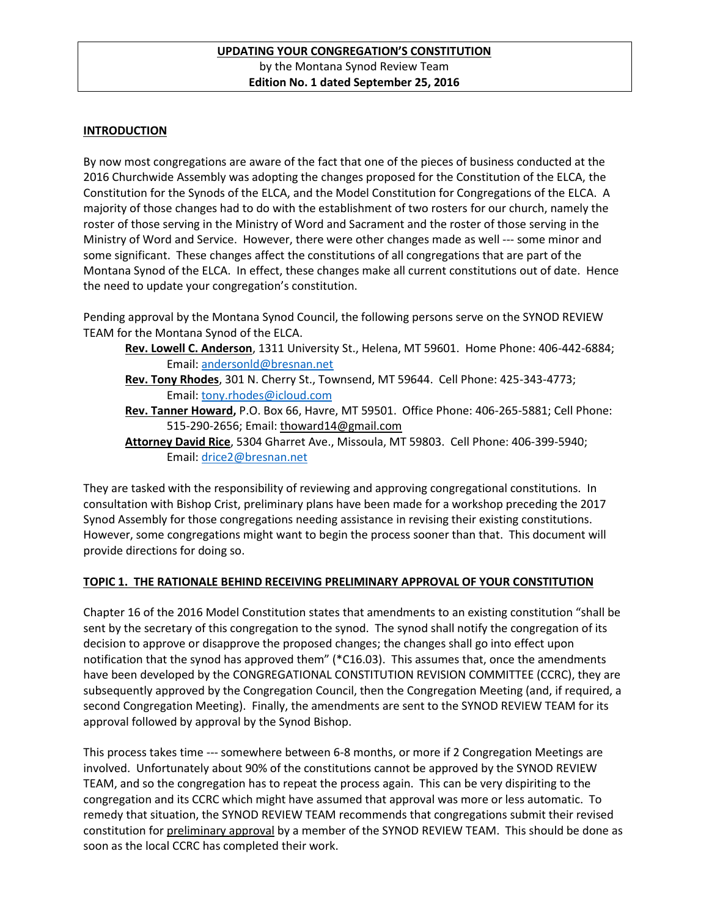### **INTRODUCTION**

By now most congregations are aware of the fact that one of the pieces of business conducted at the 2016 Churchwide Assembly was adopting the changes proposed for the Constitution of the ELCA, the Constitution for the Synods of the ELCA, and the Model Constitution for Congregations of the ELCA. A majority of those changes had to do with the establishment of two rosters for our church, namely the roster of those serving in the Ministry of Word and Sacrament and the roster of those serving in the Ministry of Word and Service. However, there were other changes made as well --- some minor and some significant. These changes affect the constitutions of all congregations that are part of the Montana Synod of the ELCA. In effect, these changes make all current constitutions out of date. Hence the need to update your congregation's constitution.

Pending approval by the Montana Synod Council, the following persons serve on the SYNOD REVIEW TEAM for the Montana Synod of the ELCA.

- **Rev. Lowell C. Anderson**, 1311 University St., Helena, MT 59601. Home Phone: 406-442-6884; Email: [andersonld@bresnan.net](mailto:andersonld@bresnan.net)
- **Rev. Tony Rhodes**, 301 N. Cherry St., Townsend, MT 59644. Cell Phone: 425-343-4773; Email: [tony.rhodes@icloud.com](mailto:tony.rhodes@icloud.com)
- **Rev. Tanner Howard,** P.O. Box 66, Havre, MT 59501. Office Phone: 406-265-5881; Cell Phone: 515-290-2656; Email: thoward14@gmail.com
- **Attorney David Rice**, 5304 Gharret Ave., Missoula, MT 59803. Cell Phone: 406-399-5940; Email: [drice2@bresnan.net](mailto:drice2@bresnan.net)

They are tasked with the responsibility of reviewing and approving congregational constitutions. In consultation with Bishop Crist, preliminary plans have been made for a workshop preceding the 2017 Synod Assembly for those congregations needing assistance in revising their existing constitutions. However, some congregations might want to begin the process sooner than that. This document will provide directions for doing so.

### **TOPIC 1. THE RATIONALE BEHIND RECEIVING PRELIMINARY APPROVAL OF YOUR CONSTITUTION**

Chapter 16 of the 2016 Model Constitution states that amendments to an existing constitution "shall be sent by the secretary of this congregation to the synod. The synod shall notify the congregation of its decision to approve or disapprove the proposed changes; the changes shall go into effect upon notification that the synod has approved them" (\*C16.03). This assumes that, once the amendments have been developed by the CONGREGATIONAL CONSTITUTION REVISION COMMITTEE (CCRC), they are subsequently approved by the Congregation Council, then the Congregation Meeting (and, if required, a second Congregation Meeting). Finally, the amendments are sent to the SYNOD REVIEW TEAM for its approval followed by approval by the Synod Bishop.

This process takes time --- somewhere between 6-8 months, or more if 2 Congregation Meetings are involved. Unfortunately about 90% of the constitutions cannot be approved by the SYNOD REVIEW TEAM, and so the congregation has to repeat the process again. This can be very dispiriting to the congregation and its CCRC which might have assumed that approval was more or less automatic. To remedy that situation, the SYNOD REVIEW TEAM recommends that congregations submit their revised constitution for preliminary approval by a member of the SYNOD REVIEW TEAM. This should be done as soon as the local CCRC has completed their work.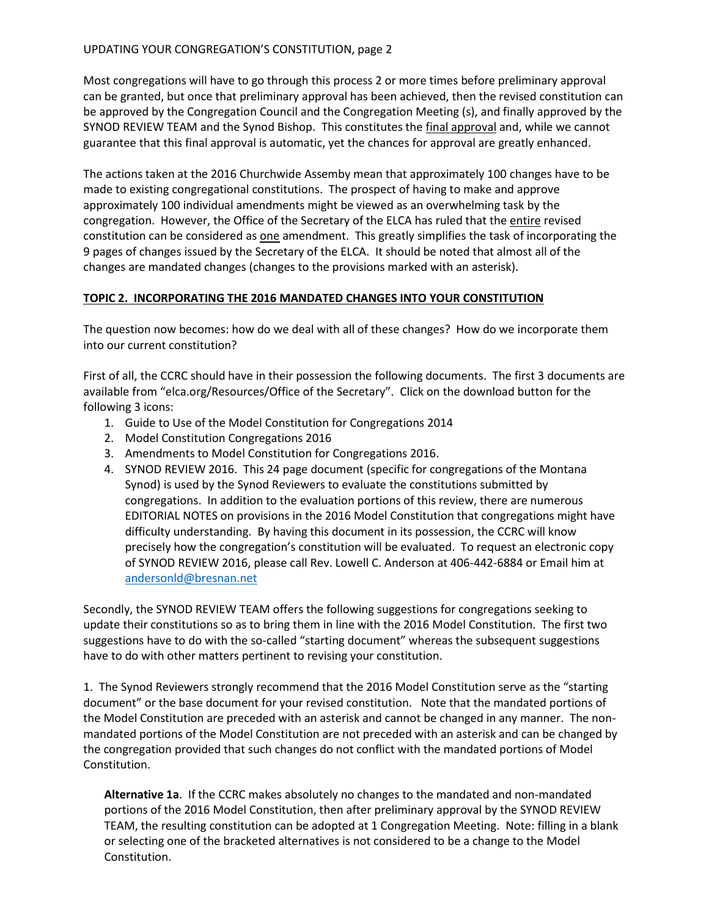Most congregations will have to go through this process 2 or more times before preliminary approval can be granted, but once that preliminary approval has been achieved, then the revised constitution can be approved by the Congregation Council and the Congregation Meeting (s), and finally approved by the SYNOD REVIEW TEAM and the Synod Bishop. This constitutes the final approval and, while we cannot guarantee that this final approval is automatic, yet the chances for approval are greatly enhanced.

The actions taken at the 2016 Churchwide Assemby mean that approximately 100 changes have to be made to existing congregational constitutions. The prospect of having to make and approve approximately 100 individual amendments might be viewed as an overwhelming task by the congregation. However, the Office of the Secretary of the ELCA has ruled that the entire revised constitution can be considered as one amendment. This greatly simplifies the task of incorporating the 9 pages of changes issued by the Secretary of the ELCA. It should be noted that almost all of the changes are mandated changes (changes to the provisions marked with an asterisk).

### **TOPIC 2. INCORPORATING THE 2016 MANDATED CHANGES INTO YOUR CONSTITUTION**

The question now becomes: how do we deal with all of these changes? How do we incorporate them into our current constitution?

First of all, the CCRC should have in their possession the following documents. The first 3 documents are available from "elca.org/Resources/Office of the Secretary". Click on the download button for the following 3 icons:

- 1. Guide to Use of the Model Constitution for Congregations 2014
- 2. Model Constitution Congregations 2016
- 3. Amendments to Model Constitution for Congregations 2016.
- 4. SYNOD REVIEW 2016. This 24 page document (specific for congregations of the Montana Synod) is used by the Synod Reviewers to evaluate the constitutions submitted by congregations. In addition to the evaluation portions of this review, there are numerous EDITORIAL NOTES on provisions in the 2016 Model Constitution that congregations might have difficulty understanding. By having this document in its possession, the CCRC will know precisely how the congregation's constitution will be evaluated. To request an electronic copy of SYNOD REVIEW 2016, please call Rev. Lowell C. Anderson at 406-442-6884 or Email him at [andersonld@bresnan.net](mailto:andersonld@bresnan.net)

Secondly, the SYNOD REVIEW TEAM offers the following suggestions for congregations seeking to update their constitutions so as to bring them in line with the 2016 Model Constitution. The first two suggestions have to do with the so-called "starting document" whereas the subsequent suggestions have to do with other matters pertinent to revising your constitution.

1. The Synod Reviewers strongly recommend that the 2016 Model Constitution serve as the "starting document" or the base document for your revised constitution. Note that the mandated portions of the Model Constitution are preceded with an asterisk and cannot be changed in any manner. The nonmandated portions of the Model Constitution are not preceded with an asterisk and can be changed by the congregation provided that such changes do not conflict with the mandated portions of Model Constitution.

**Alternative 1a**. If the CCRC makes absolutely no changes to the mandated and non-mandated portions of the 2016 Model Constitution, then after preliminary approval by the SYNOD REVIEW TEAM, the resulting constitution can be adopted at 1 Congregation Meeting. Note: filling in a blank or selecting one of the bracketed alternatives is not considered to be a change to the Model Constitution.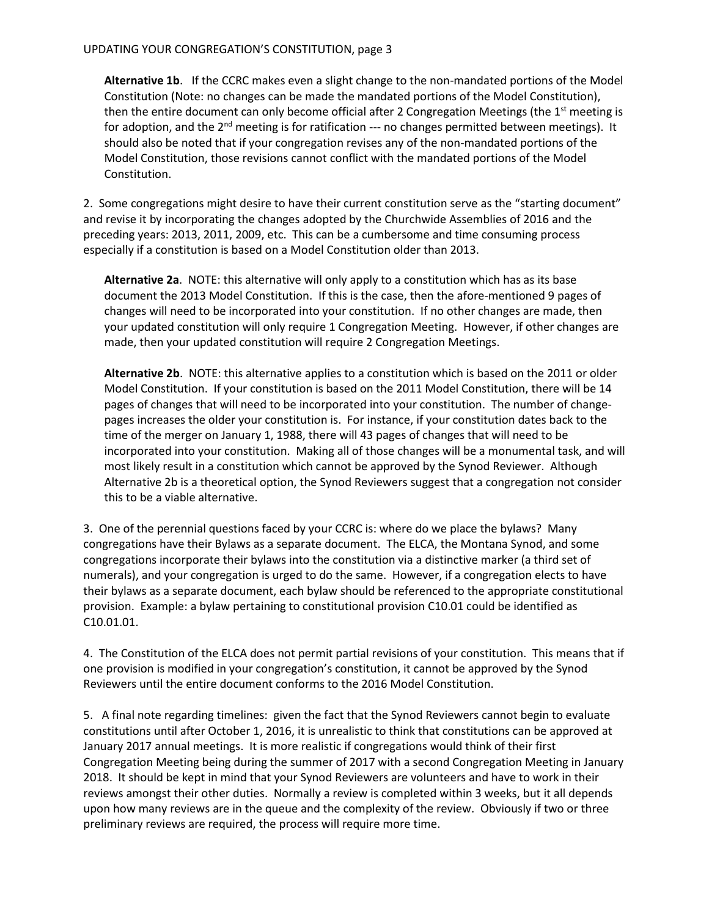**Alternative 1b**. If the CCRC makes even a slight change to the non-mandated portions of the Model Constitution (Note: no changes can be made the mandated portions of the Model Constitution), then the entire document can only become official after 2 Congregation Meetings (the  $1<sup>st</sup>$  meeting is for adoption, and the 2<sup>nd</sup> meeting is for ratification --- no changes permitted between meetings). It should also be noted that if your congregation revises any of the non-mandated portions of the Model Constitution, those revisions cannot conflict with the mandated portions of the Model Constitution.

2. Some congregations might desire to have their current constitution serve as the "starting document" and revise it by incorporating the changes adopted by the Churchwide Assemblies of 2016 and the preceding years: 2013, 2011, 2009, etc. This can be a cumbersome and time consuming process especially if a constitution is based on a Model Constitution older than 2013.

**Alternative 2a**. NOTE: this alternative will only apply to a constitution which has as its base document the 2013 Model Constitution. If this is the case, then the afore-mentioned 9 pages of changes will need to be incorporated into your constitution. If no other changes are made, then your updated constitution will only require 1 Congregation Meeting. However, if other changes are made, then your updated constitution will require 2 Congregation Meetings.

**Alternative 2b**. NOTE: this alternative applies to a constitution which is based on the 2011 or older Model Constitution. If your constitution is based on the 2011 Model Constitution, there will be 14 pages of changes that will need to be incorporated into your constitution. The number of changepages increases the older your constitution is. For instance, if your constitution dates back to the time of the merger on January 1, 1988, there will 43 pages of changes that will need to be incorporated into your constitution. Making all of those changes will be a monumental task, and will most likely result in a constitution which cannot be approved by the Synod Reviewer. Although Alternative 2b is a theoretical option, the Synod Reviewers suggest that a congregation not consider this to be a viable alternative.

3. One of the perennial questions faced by your CCRC is: where do we place the bylaws? Many congregations have their Bylaws as a separate document. The ELCA, the Montana Synod, and some congregations incorporate their bylaws into the constitution via a distinctive marker (a third set of numerals), and your congregation is urged to do the same. However, if a congregation elects to have their bylaws as a separate document, each bylaw should be referenced to the appropriate constitutional provision. Example: a bylaw pertaining to constitutional provision C10.01 could be identified as C10.01.01.

4. The Constitution of the ELCA does not permit partial revisions of your constitution. This means that if one provision is modified in your congregation's constitution, it cannot be approved by the Synod Reviewers until the entire document conforms to the 2016 Model Constitution.

5. A final note regarding timelines: given the fact that the Synod Reviewers cannot begin to evaluate constitutions until after October 1, 2016, it is unrealistic to think that constitutions can be approved at January 2017 annual meetings. It is more realistic if congregations would think of their first Congregation Meeting being during the summer of 2017 with a second Congregation Meeting in January 2018. It should be kept in mind that your Synod Reviewers are volunteers and have to work in their reviews amongst their other duties. Normally a review is completed within 3 weeks, but it all depends upon how many reviews are in the queue and the complexity of the review. Obviously if two or three preliminary reviews are required, the process will require more time.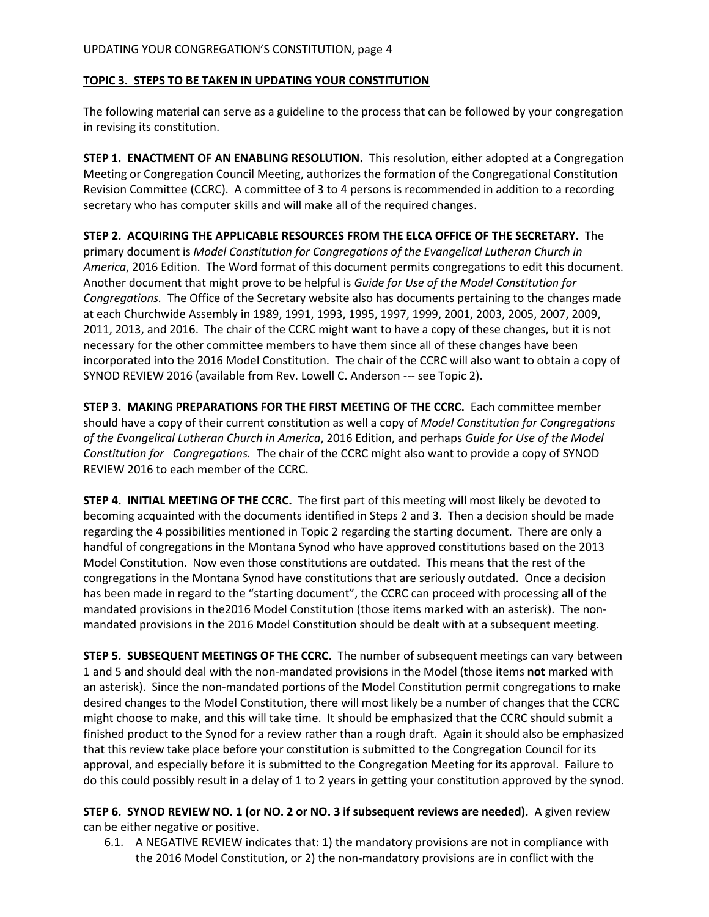### **TOPIC 3. STEPS TO BE TAKEN IN UPDATING YOUR CONSTITUTION**

The following material can serve as a guideline to the process that can be followed by your congregation in revising its constitution.

**STEP 1. ENACTMENT OF AN ENABLING RESOLUTION.** This resolution, either adopted at a Congregation Meeting or Congregation Council Meeting, authorizes the formation of the Congregational Constitution Revision Committee (CCRC). A committee of 3 to 4 persons is recommended in addition to a recording secretary who has computer skills and will make all of the required changes.

**STEP 2. ACQUIRING THE APPLICABLE RESOURCES FROM THE ELCA OFFICE OF THE SECRETARY.** The primary document is *Model Constitution for Congregations of the Evangelical Lutheran Church in America*, 2016 Edition. The Word format of this document permits congregations to edit this document. Another document that might prove to be helpful is *Guide for Use of the Model Constitution for Congregations.* The Office of the Secretary website also has documents pertaining to the changes made at each Churchwide Assembly in 1989, 1991, 1993, 1995, 1997, 1999, 2001, 2003, 2005, 2007, 2009, 2011, 2013, and 2016. The chair of the CCRC might want to have a copy of these changes, but it is not necessary for the other committee members to have them since all of these changes have been incorporated into the 2016 Model Constitution. The chair of the CCRC will also want to obtain a copy of SYNOD REVIEW 2016 (available from Rev. Lowell C. Anderson --- see Topic 2).

**STEP 3. MAKING PREPARATIONS FOR THE FIRST MEETING OF THE CCRC.** Each committee member should have a copy of their current constitution as well a copy of *Model Constitution for Congregations of the Evangelical Lutheran Church in America*, 2016 Edition, and perhaps *Guide for Use of the Model Constitution for Congregations.* The chair of the CCRC might also want to provide a copy of SYNOD REVIEW 2016 to each member of the CCRC.

**STEP 4. INITIAL MEETING OF THE CCRC.** The first part of this meeting will most likely be devoted to becoming acquainted with the documents identified in Steps 2 and 3. Then a decision should be made regarding the 4 possibilities mentioned in Topic 2 regarding the starting document. There are only a handful of congregations in the Montana Synod who have approved constitutions based on the 2013 Model Constitution. Now even those constitutions are outdated. This means that the rest of the congregations in the Montana Synod have constitutions that are seriously outdated. Once a decision has been made in regard to the "starting document", the CCRC can proceed with processing all of the mandated provisions in the2016 Model Constitution (those items marked with an asterisk). The nonmandated provisions in the 2016 Model Constitution should be dealt with at a subsequent meeting.

**STEP 5. SUBSEQUENT MEETINGS OF THE CCRC**. The number of subsequent meetings can vary between 1 and 5 and should deal with the non-mandated provisions in the Model (those items **not** marked with an asterisk). Since the non-mandated portions of the Model Constitution permit congregations to make desired changes to the Model Constitution, there will most likely be a number of changes that the CCRC might choose to make, and this will take time. It should be emphasized that the CCRC should submit a finished product to the Synod for a review rather than a rough draft. Again it should also be emphasized that this review take place before your constitution is submitted to the Congregation Council for its approval, and especially before it is submitted to the Congregation Meeting for its approval. Failure to do this could possibly result in a delay of 1 to 2 years in getting your constitution approved by the synod.

**STEP 6. SYNOD REVIEW NO. 1 (or NO. 2 or NO. 3 if subsequent reviews are needed).** A given review can be either negative or positive.

6.1. A NEGATIVE REVIEW indicates that: 1) the mandatory provisions are not in compliance with the 2016 Model Constitution, or 2) the non-mandatory provisions are in conflict with the